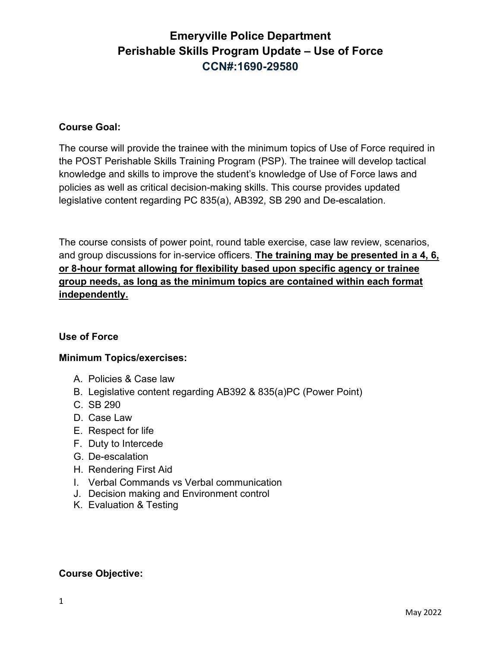## **Course Goal:**

The course will provide the trainee with the minimum topics of Use of Force required in the POST Perishable Skills Training Program (PSP). The trainee will develop tactical knowledge and skills to improve the student's knowledge of Use of Force laws and policies as well as critical decision-making skills. This course provides updated legislative content regarding PC 835(a), AB392, SB 290 and De-escalation.

The course consists of power point, round table exercise, case law review, scenarios, and group discussions for in-service officers. **The training may be presented in a 4, 6, or 8-hour format allowing for flexibility based upon specific agency or trainee group needs, as long as the minimum topics are contained within each format independently.**

## **Use of Force**

## **Minimum Topics/exercises:**

- A. Policies & Case law
- B. Legislative content regarding AB392 & 835(a)PC (Power Point)
- C. SB 290
- D. Case Law
- E. Respect for life
- F. Duty to Intercede
- G. De-escalation
- H. Rendering First Aid
- I. Verbal Commands vs Verbal communication
- J. Decision making and Environment control
- K. Evaluation & Testing

## **Course Objective:**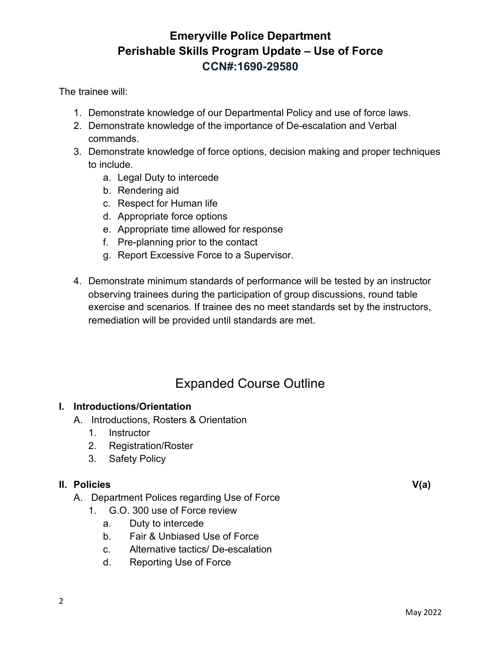The trainee will:

- 1. Demonstrate knowledge of our Departmental Policy and use of force laws.
- 2. Demonstrate knowledge of the importance of De-escalation and Verbal commands.
- 3. Demonstrate knowledge of force options, decision making and proper techniques to include.
	- a. Legal Duty to intercede
	- b. Rendering aid
	- c. Respect for Human life
	- d. Appropriate force options
	- e. Appropriate time allowed for response
	- f. Pre-planning prior to the contact
	- g. Report Excessive Force to a Supervisor.
- 4. Demonstrate minimum standards of performance will be tested by an instructor observing trainees during the participation of group discussions, round table exercise and scenarios. If trainee des no meet standards set by the instructors, remediation will be provided until standards are met.

# Expanded Course Outline

## **I. Introductions/Orientation**

- A. Introductions, Rosters & Orientation
	- 1. Instructor
	- 2. Registration/Roster
	- 3. Safety Policy

## **II. Policies V(a)**

- A. Department Polices regarding Use of Force
	- 1. G.O. 300 use of Force review
		- a. Duty to intercede
		- b. Fair & Unbiased Use of Force
		- c. Alternative tactics/ De-escalation
		- d. Reporting Use of Force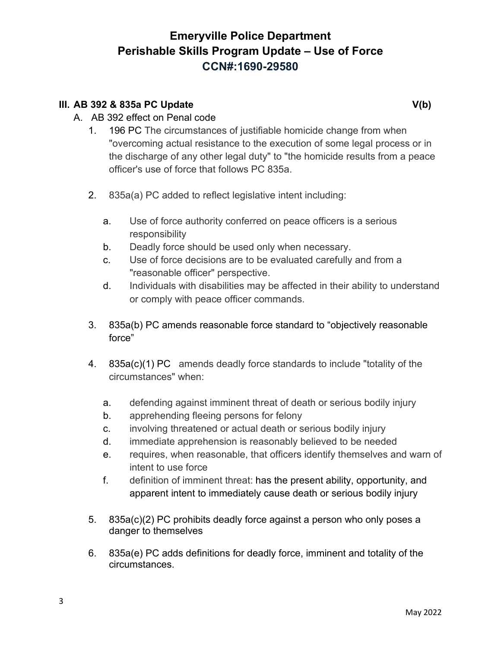## **III.** AB 392 & 835a PC Update V(b)

- A. AB 392 effect on Penal code
	- 1. 196 PC The circumstances of justifiable homicide change from when "overcoming actual resistance to the execution of some legal process or in the discharge of any other legal duty" to "the homicide results from a peace officer's use of force that follows PC 835a.
	- 2. 835a(a) PC added to reflect legislative intent including:
		- a. Use of force authority conferred on peace officers is a serious responsibility
		- b. Deadly force should be used only when necessary.
		- c. Use of force decisions are to be evaluated carefully and from a "reasonable officer" perspective.
		- d. Individuals with disabilities may be affected in their ability to understand or comply with peace officer commands.
	- 3. 835a(b) PC amends reasonable force standard to "objectively reasonable force"
	- 4. 835a(c)(1) PC amends deadly force standards to include "totality of the circumstances" when:
		- a. defending against imminent threat of death or serious bodily injury
		- b. apprehending fleeing persons for felony
		- c. involving threatened or actual death or serious bodily injury
		- d. immediate apprehension is reasonably believed to be needed
		- e. requires, when reasonable, that officers identify themselves and warn of intent to use force
		- f. definition of imminent threat: has the present ability, opportunity, and apparent intent to immediately cause death or serious bodily injury
	- 5. 835a(c)(2) PC prohibits deadly force against a person who only poses a danger to themselves
	- 6. 835a(e) PC adds definitions for deadly force, imminent and totality of the circumstances.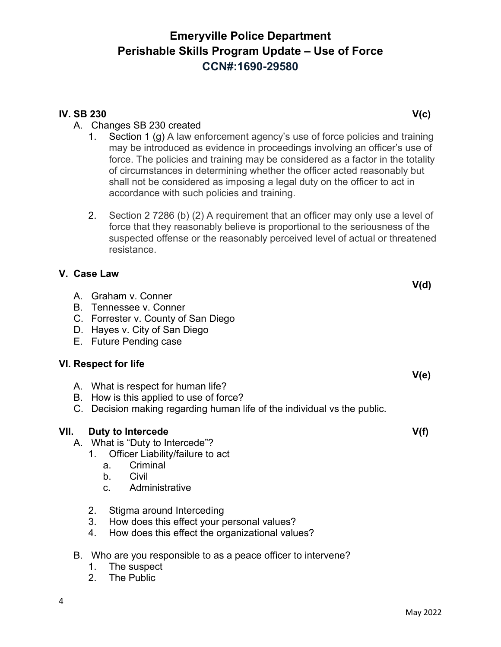#### May 2022

# **Emeryville Police Department Perishable Skills Program Update – Use of Force CCN#:1690-29580**

## **IV. SB 230 V(c)**

## A. Changes SB 230 created

- 1. Section 1 (g) A law enforcement agency's use of force policies and training may be introduced as evidence in proceedings involving an officer's use of force. The policies and training may be considered as a factor in the totality of circumstances in determining whether the officer acted reasonably but shall not be considered as imposing a legal duty on the officer to act in accordance with such policies and training.
- 2. Section 2 7286 (b) (2) A requirement that an officer may only use a level of force that they reasonably believe is proportional to the seriousness of the suspected offense or the reasonably perceived level of actual or threatened resistance.

# **V. Case Law**

# E. Future Pending case **VI. Respect for life**  A. What is respect for human life?

C. Forrester v. County of San Diego

D. Hayes v. City of San Diego

- B. How is this applied to use of force?
- C. Decision making regarding human life of the individual vs the public.

# **VII.** Duty to Intercede V(f)

A. Graham v. Conner B. Tennessee v. Conner

- A. What is "Duty to Intercede"?
	- 1. Officer Liability/failure to act
		- a. Criminal
		- b. Civil
		- c. Administrative
	- 2. Stigma around Interceding
	- 3. How does this effect your personal values?
	- 4. How does this effect the organizational values?
- B. Who are you responsible to as a peace officer to intervene?
	- 1. The suspect
	- 2. The Public

4

**V(e)**

**V(d)**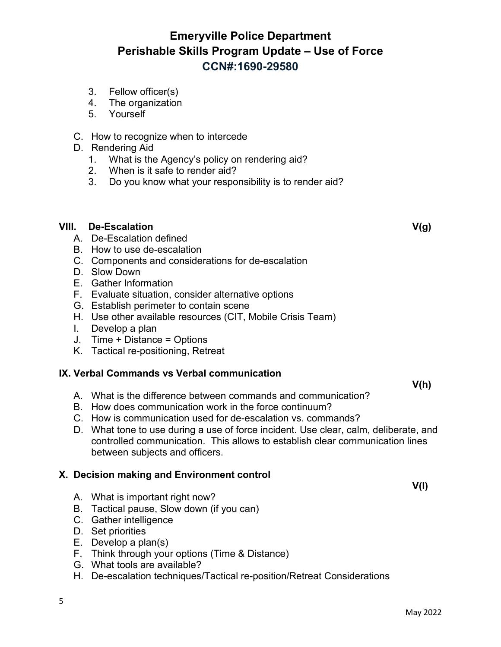- 3. Fellow officer(s)
- 4. The organization
- 5. Yourself
- C. How to recognize when to intercede
- D. Rendering Aid
	- 1. What is the Agency's policy on rendering aid?
	- 2. When is it safe to render aid?
	- 3. Do you know what your responsibility is to render aid?

## **VIII. De-Escalation V(g)**

- A. De-Escalation defined
- B. How to use de-escalation
- C. Components and considerations for de-escalation
- D. Slow Down
- E. Gather Information
- F. Evaluate situation, consider alternative options
- G. Establish perimeter to contain scene
- H. Use other available resources (CIT, Mobile Crisis Team)
- I. Develop a plan
- J. Time + Distance = Options
- K. Tactical re-positioning, Retreat

## **IX. Verbal Commands vs Verbal communication**

A. What is the difference between commands and communication?

- B. How does communication work in the force continuum?
- C. How is communication used for de-escalation vs. commands?
- D. What tone to use during a use of force incident. Use clear, calm, deliberate, and controlled communication. This allows to establish clear communication lines between subjects and officers.

## **X. Decision making and Environment control**

- A. What is important right now?
- B. Tactical pause, Slow down (if you can)
- C. Gather intelligence
- D. Set priorities

5

- E. Develop a plan(s)
- F. Think through your options (Time & Distance)
- G. What tools are available?
- H. De-escalation techniques/Tactical re-position/Retreat Considerations

**V(h)**

**V(I)**